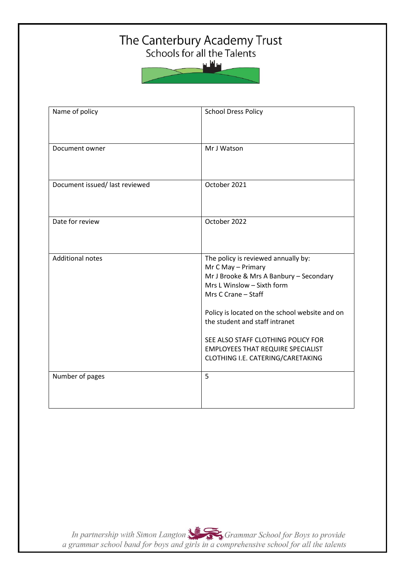# The Canterbury Academy Trust<br>Schools for all the Talents

سافلس



| Name of policy                 | <b>School Dress Policy</b>                                                                                                                                                                                                                                                                                                                                           |
|--------------------------------|----------------------------------------------------------------------------------------------------------------------------------------------------------------------------------------------------------------------------------------------------------------------------------------------------------------------------------------------------------------------|
| Document owner                 | Mr J Watson                                                                                                                                                                                                                                                                                                                                                          |
| Document issued/ last reviewed | October 2021                                                                                                                                                                                                                                                                                                                                                         |
| Date for review                | October 2022                                                                                                                                                                                                                                                                                                                                                         |
| <b>Additional notes</b>        | The policy is reviewed annually by:<br>Mr C May - Primary<br>Mr J Brooke & Mrs A Banbury - Secondary<br>Mrs L Winslow - Sixth form<br>Mrs C Crane - Staff<br>Policy is located on the school website and on<br>the student and staff intranet<br>SEE ALSO STAFF CLOTHING POLICY FOR<br><b>EMPLOYEES THAT REQUIRE SPECIALIST</b><br>CLOTHING I.E. CATERING/CARETAKING |
| Number of pages                | 5                                                                                                                                                                                                                                                                                                                                                                    |

In partnership with Simon Langton Sexting Grammar School for Boys to provide<br>a grammar school band for boys and girls in a comprehensive school for all the talents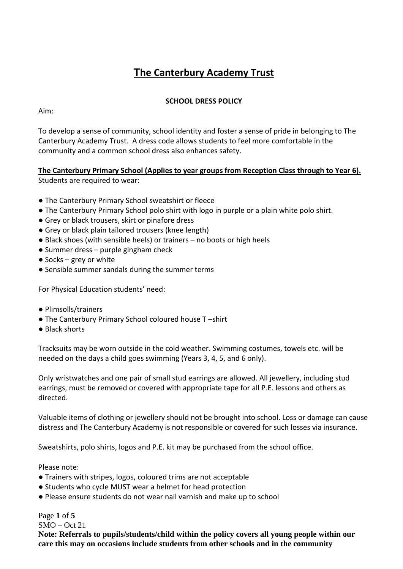# **The Canterbury Academy Trust**

# **SCHOOL DRESS POLICY**

Aim:

To develop a sense of community, school identity and foster a sense of pride in belonging to The Canterbury Academy Trust. A dress code allows students to feel more comfortable in the community and a common school dress also enhances safety.

**The Canterbury Primary School (Applies to year groups from Reception Class through to Year 6).** Students are required to wear:

- The Canterbury Primary School sweatshirt or fleece
- The Canterbury Primary School polo shirt with logo in purple or a plain white polo shirt.
- Grey or black trousers, skirt or pinafore dress
- Grey or black plain tailored trousers (knee length)
- Black shoes (with sensible heels) or trainers no boots or high heels
- Summer dress purple gingham check
- $\bullet$  Socks grey or white
- Sensible summer sandals during the summer terms

For Physical Education students' need:

- Plimsolls/trainers
- The Canterbury Primary School coloured house T –shirt
- Black shorts

Tracksuits may be worn outside in the cold weather. Swimming costumes, towels etc. will be needed on the days a child goes swimming (Years 3, 4, 5, and 6 only).

Only wristwatches and one pair of small stud earrings are allowed. All jewellery, including stud earrings, must be removed or covered with appropriate tape for all P.E. lessons and others as directed.

Valuable items of clothing or jewellery should not be brought into school. Loss or damage can cause distress and The Canterbury Academy is not responsible or covered for such losses via insurance.

Sweatshirts, polo shirts, logos and P.E. kit may be purchased from the school office.

Please note:

- Trainers with stripes, logos, coloured trims are not acceptable
- Students who cycle MUST wear a helmet for head protection
- Please ensure students do not wear nail varnish and make up to school

Page **1** of **5** SMO – Oct 21 **Note: Referrals to pupils/students/child within the policy covers all young people within our care this may on occasions include students from other schools and in the community**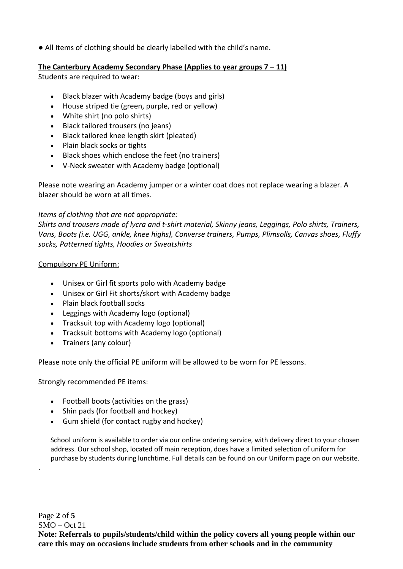● All Items of clothing should be clearly labelled with the child's name.

# **The Canterbury Academy Secondary Phase (Applies to year groups 7 – 11)**

Students are required to wear:

- Black blazer with Academy badge (boys and girls)
- House striped tie (green, purple, red or yellow)
- White shirt (no polo shirts)
- Black tailored trousers (no jeans)
- Black tailored knee length skirt (pleated)
- Plain black socks or tights
- Black shoes which enclose the feet (no trainers)
- V-Neck sweater with Academy badge (optional)

Please note wearing an Academy jumper or a winter coat does not replace wearing a blazer. A blazer should be worn at all times.

## *Items of clothing that are not appropriate:*

*Skirts and trousers made of lycra and t-shirt material, Skinny jeans, Leggings, Polo shirts, Trainers, Vans, Boots (i.e. UGG, ankle, knee highs), Converse trainers, Pumps, Plimsolls, Canvas shoes, Fluffy socks, Patterned tights, Hoodies or Sweatshirts*

#### Compulsory PE Uniform:

- Unisex or Girl fit sports polo with Academy badge
- Unisex or Girl Fit shorts/skort with Academy badge
- Plain black football socks
- Leggings with Academy logo (optional)
- Tracksuit top with Academy logo (optional)
- Tracksuit bottoms with Academy logo (optional)
- Trainers (any colour)

Please note only the official PE uniform will be allowed to be worn for PE lessons.

Strongly recommended PE items:

.

- Football boots (activities on the grass)
- Shin pads (for football and hockey)
- Gum shield (for contact rugby and hockey)

School uniform is available to order via our online ordering service, with delivery direct to your chosen address. Our school shop, located off main reception, does have a limited selection of uniform for purchase by students during lunchtime. Full details can be found on our Uniform page on our website.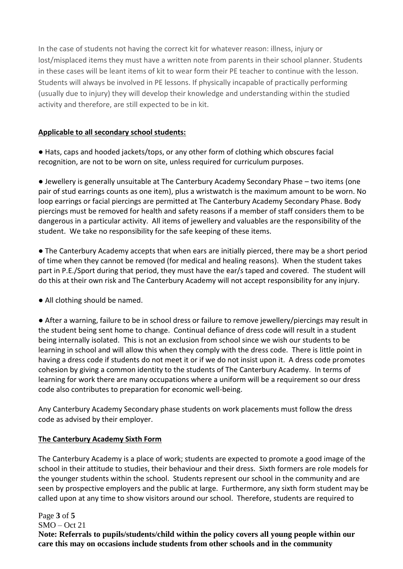In the case of students not having the correct kit for whatever reason: illness, injury or lost/misplaced items they must have a written note from parents in their school planner. Students in these cases will be leant items of kit to wear form their PE teacher to continue with the lesson. Students will always be involved in PE lessons. If physically incapable of practically performing (usually due to injury) they will develop their knowledge and understanding within the studied activity and therefore, are still expected to be in kit.

# **Applicable to all secondary school students:**

● Hats, caps and hooded jackets/tops, or any other form of clothing which obscures facial recognition, are not to be worn on site, unless required for curriculum purposes.

● Jewellery is generally unsuitable at The Canterbury Academy Secondary Phase – two items (one pair of stud earrings counts as one item), plus a wristwatch is the maximum amount to be worn. No loop earrings or facial piercings are permitted at The Canterbury Academy Secondary Phase. Body piercings must be removed for health and safety reasons if a member of staff considers them to be dangerous in a particular activity. All items of jewellery and valuables are the responsibility of the student. We take no responsibility for the safe keeping of these items.

● The Canterbury Academy accepts that when ears are initially pierced, there may be a short period of time when they cannot be removed (for medical and healing reasons). When the student takes part in P.E./Sport during that period, they must have the ear/s taped and covered. The student will do this at their own risk and The Canterbury Academy will not accept responsibility for any injury.

● All clothing should be named.

● After a warning, failure to be in school dress or failure to remove jewellery/piercings may result in the student being sent home to change. Continual defiance of dress code will result in a student being internally isolated. This is not an exclusion from school since we wish our students to be learning in school and will allow this when they comply with the dress code. There is little point in having a dress code if students do not meet it or if we do not insist upon it. A dress code promotes cohesion by giving a common identity to the students of The Canterbury Academy. In terms of learning for work there are many occupations where a uniform will be a requirement so our dress code also contributes to preparation for economic well-being.

Any Canterbury Academy Secondary phase students on work placements must follow the dress code as advised by their employer.

## **The Canterbury Academy Sixth Form**

The Canterbury Academy is a place of work; students are expected to promote a good image of the school in their attitude to studies, their behaviour and their dress. Sixth formers are role models for the younger students within the school. Students represent our school in the community and are seen by prospective employers and the public at large. Furthermore, any sixth form student may be called upon at any time to show visitors around our school. Therefore, students are required to

Page **3** of **5**  $SMO - Oct 21$ **Note: Referrals to pupils/students/child within the policy covers all young people within our care this may on occasions include students from other schools and in the community**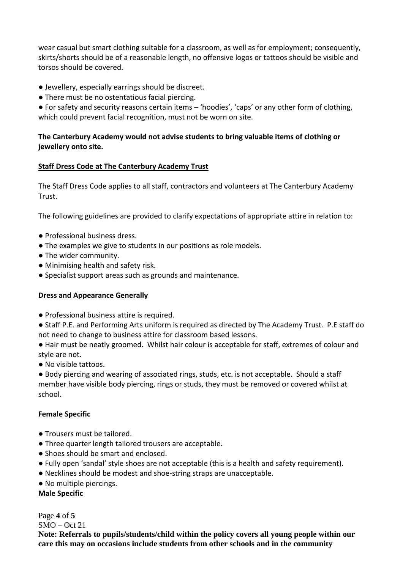wear casual but smart clothing suitable for a classroom, as well as for employment; consequently, skirts/shorts should be of a reasonable length, no offensive logos or tattoos should be visible and torsos should be covered.

- Jewellery, especially earrings should be discreet.
- There must be no ostentatious facial piercing.

● For safety and security reasons certain items – 'hoodies', 'caps' or any other form of clothing, which could prevent facial recognition, must not be worn on site.

# **The Canterbury Academy would not advise students to bring valuable items of clothing or jewellery onto site.**

#### **Staff Dress Code at The Canterbury Academy Trust**

The Staff Dress Code applies to all staff, contractors and volunteers at The Canterbury Academy Trust.

The following guidelines are provided to clarify expectations of appropriate attire in relation to:

- Professional business dress.
- The examples we give to students in our positions as role models.
- The wider community.
- Minimising health and safety risk.
- Specialist support areas such as grounds and maintenance.

#### **Dress and Appearance Generally**

- Professional business attire is required.
- Staff P.E. and Performing Arts uniform is required as directed by The Academy Trust. P.E staff do not need to change to business attire for classroom based lessons.
- Hair must be neatly groomed. Whilst hair colour is acceptable for staff, extremes of colour and style are not.
- No visible tattoos.

● Body piercing and wearing of associated rings, studs, etc. is not acceptable. Should a staff member have visible body piercing, rings or studs, they must be removed or covered whilst at school.

#### **Female Specific**

- Trousers must be tailored.
- Three quarter length tailored trousers are acceptable.
- Shoes should be smart and enclosed.
- Fully open 'sandal' style shoes are not acceptable (this is a health and safety requirement).
- Necklines should be modest and shoe-string straps are unacceptable.
- No multiple piercings.

**Male Specific**

Page **4** of **5** SMO – Oct 21 **Note: Referrals to pupils/students/child within the policy covers all young people within our care this may on occasions include students from other schools and in the community**